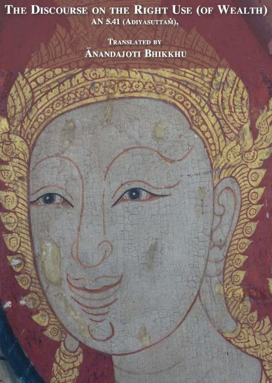## THE DISCOURSE ON THE RIGHT USE (OF WEALTH) AN 5.41 (ADIYASUTTAM),

**TRANSLATED BY ĀNANDAJOTI BHIKKHU** 

G.

8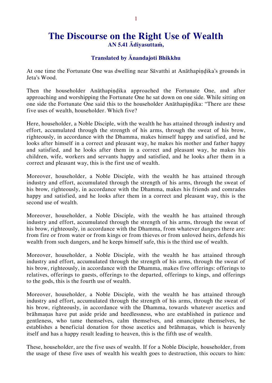## **The Discourse on the Right Use of Wealth AN 5.41 Ādiyasuttaṁ,**

## **Translated by Ānandajoti Bhikkhu**

At one time the Fortunate One was dwelling near Sāvatthi at Anāthapiṇḍika's grounds in Jeta's Wood.

Then the householder Anāthapindika approached the Fortunate One, and after approaching and worshipping the Fortunate One he sat down on one side. While sitting on one side the Fortunate One said this to the householder Anāthapindika: "There are these five uses of wealth, householder. Which five?

Here, householder, a Noble Disciple, with the wealth he has attained through industry and effort, accumulated through the strength of his arms, through the sweat of his brow, righteously, in accordance with the Dhamma, makes himself happy and satisfied, and he looks after himself in a correct and pleasant way, he makes his mother and father happy and satisfied, and he looks after them in a correct and pleasant way, he makes his children, wife, workers and servants happy and satisfied, and he looks after them in a correct and pleasant way, this is the first use of wealth.

Moreover, householder, a Noble Disciple, with the wealth he has attained through industry and effort, accumulated through the strength of his arms, through the sweat of his brow, righteously, in accordance with the Dhamma, makes his friends and comrades happy and satisfied, and he looks after them in a correct and pleasant way, this is the second use of wealth.

Moreover, householder, a Noble Disciple, with the wealth he has attained through industry and effort, accumulated through the strength of his arms, through the sweat of his brow, righteously, in accordance with the Dhamma, from whatever dangers there are: from fire or from water or from kings or from thieves or from unloved heirs, defends his wealth from such dangers, and he keeps himself safe, this is the third use of wealth.

Moreover, householder, a Noble Disciple, with the wealth he has attained through industry and effort, accumulated through the strength of his arms, through the sweat of his brow, righteously, in accordance with the Dhamma, makes five offerings: offerings to relatives, offerings to guests, offerings to the departed, offerings to kings, and offerings to the gods, this is the fourth use of wealth.

Moreover, householder, a Noble Disciple, with the wealth he has attained through industry and effort, accumulated through the strength of his arms, through the sweat of his brow, righteously, in accordance with the Dhamma, towards whatever ascetics and brāhmaṇas have put aside pride and heedlessness, who are established in patience and gentleness, who tame themselves, calm themselves, and emancipate themselves, he establishes a beneficial donation for those ascetics and brāhmaṇas, which is heavenly itself and has a happy result leading to heaven, this is the fifth use of wealth.

These, householder, are the five uses of wealth. If for a Noble Disciple, householder, from the usage of these five uses of wealth his wealth goes to destruction, this occurs to him: